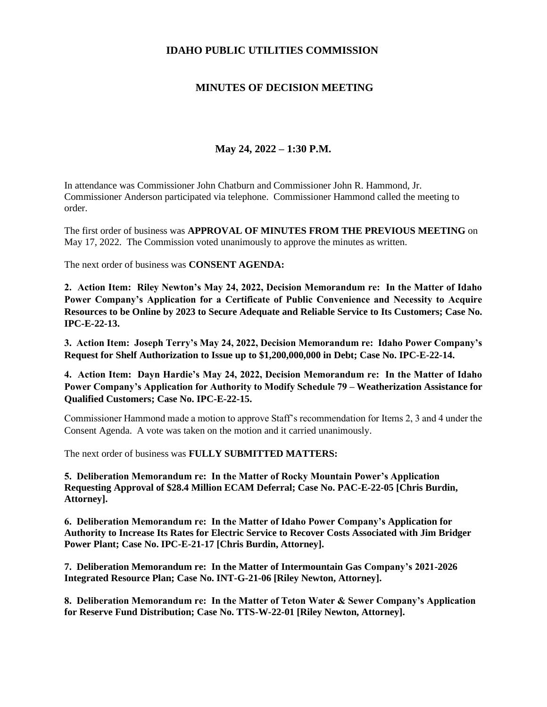## **IDAHO PUBLIC UTILITIES COMMISSION**

## **MINUTES OF DECISION MEETING**

## **May 24, 2022 – 1:30 P.M.**

In attendance was Commissioner John Chatburn and Commissioner John R. Hammond, Jr. Commissioner Anderson participated via telephone. Commissioner Hammond called the meeting to order.

The first order of business was **APPROVAL OF MINUTES FROM THE PREVIOUS MEETING** on May 17, 2022. The Commission voted unanimously to approve the minutes as written.

The next order of business was **CONSENT AGENDA:**

**2. Action Item: Riley Newton's May 24, 2022, Decision Memorandum re: In the Matter of Idaho Power Company's Application for a Certificate of Public Convenience and Necessity to Acquire Resources to be Online by 2023 to Secure Adequate and Reliable Service to Its Customers; Case No. IPC-E-22-13.**

**3. Action Item: Joseph Terry's May 24, 2022, Decision Memorandum re: Idaho Power Company's Request for Shelf Authorization to Issue up to \$1,200,000,000 in Debt; Case No. IPC-E-22-14.**

**4. Action Item: Dayn Hardie's May 24, 2022, Decision Memorandum re: In the Matter of Idaho Power Company's Application for Authority to Modify Schedule 79 – Weatherization Assistance for Qualified Customers; Case No. IPC-E-22-15.**

Commissioner Hammond made a motion to approve Staff's recommendation for Items 2, 3 and 4 under the Consent Agenda. A vote was taken on the motion and it carried unanimously.

The next order of business was **FULLY SUBMITTED MATTERS:**

**5. Deliberation Memorandum re: In the Matter of Rocky Mountain Power's Application Requesting Approval of \$28.4 Million ECAM Deferral; Case No. PAC-E-22-05 [Chris Burdin, Attorney].**

**6. Deliberation Memorandum re: In the Matter of Idaho Power Company's Application for Authority to Increase Its Rates for Electric Service to Recover Costs Associated with Jim Bridger Power Plant; Case No. IPC-E-21-17 [Chris Burdin, Attorney].**

**7. Deliberation Memorandum re: In the Matter of Intermountain Gas Company's 2021-2026 Integrated Resource Plan; Case No. INT-G-21-06 [Riley Newton, Attorney].**

**8. Deliberation Memorandum re: In the Matter of Teton Water & Sewer Company's Application for Reserve Fund Distribution; Case No. TTS-W-22-01 [Riley Newton, Attorney].**